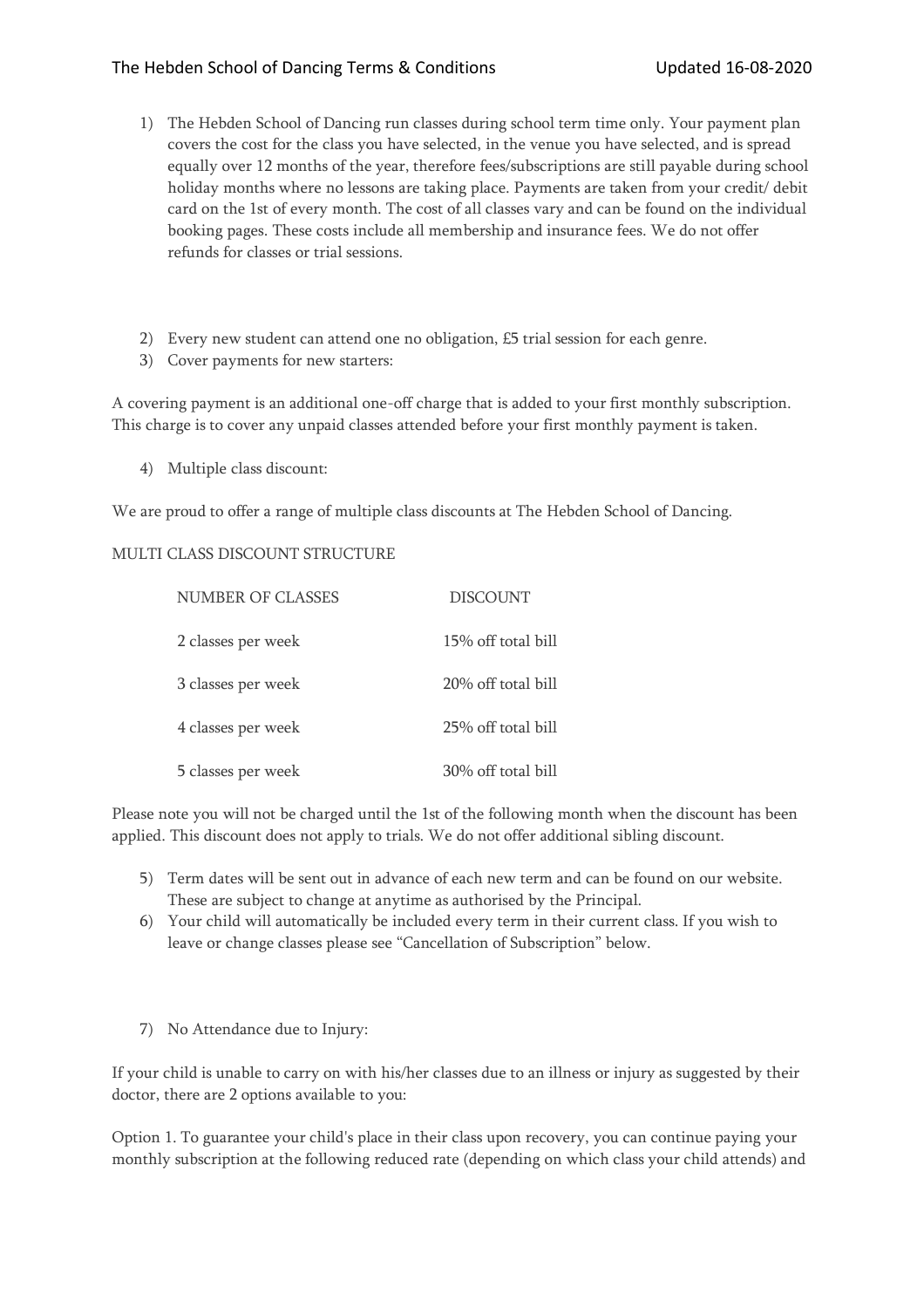## The Hebden School of Dancing Terms & Conditions Updated 16-08-2020

- 1) The Hebden School of Dancing run classes during school term time only. Your payment plan covers the cost for the class you have selected, in the venue you have selected, and is spread equally over 12 months of the year, therefore fees/subscriptions are still payable during school holiday months where no lessons are taking place. Payments are taken from your credit/ debit card on the 1st of every month. The cost of all classes vary and can be found on the individual booking pages. These costs include all membership and insurance fees. We do not offer refunds for classes or trial sessions.
- 2) Every new student can attend one no obligation, £5 trial session for each genre.
- 3) Cover payments for new starters:

A covering payment is an additional one-off charge that is added to your first monthly subscription. This charge is to cover any unpaid classes attended before your first monthly payment is taken.

4) Multiple class discount:

We are proud to offer a range of multiple class discounts at The Hebden School of Dancing.

## MULTI CLASS DISCOUNT STRUCTURE

| NUMBER OF CLASSES  | <b>DISCOUNT</b>    |
|--------------------|--------------------|
| 2 classes per week | 15% off total bill |
| 3 classes per week | 20% off total bill |
| 4 classes per week | 25% off total bill |
| 5 classes per week | 30% off total bill |

Please note you will not be charged until the 1st of the following month when the discount has been applied. This discount does not apply to trials. We do not offer additional sibling discount.

- 5) Term dates will be sent out in advance of each new term and can be found on our website. These are subject to change at anytime as authorised by the Principal.
- 6) Your child will automatically be included every term in their current class. If you wish to leave or change classes please see "Cancellation of Subscription" below.
- 7) No Attendance due to Injury:

If your child is unable to carry on with his/her classes due to an illness or injury as suggested by their doctor, there are 2 options available to you:

Option 1. To guarantee your child's place in their class upon recovery, you can continue paying your monthly subscription at the following reduced rate (depending on which class your child attends) and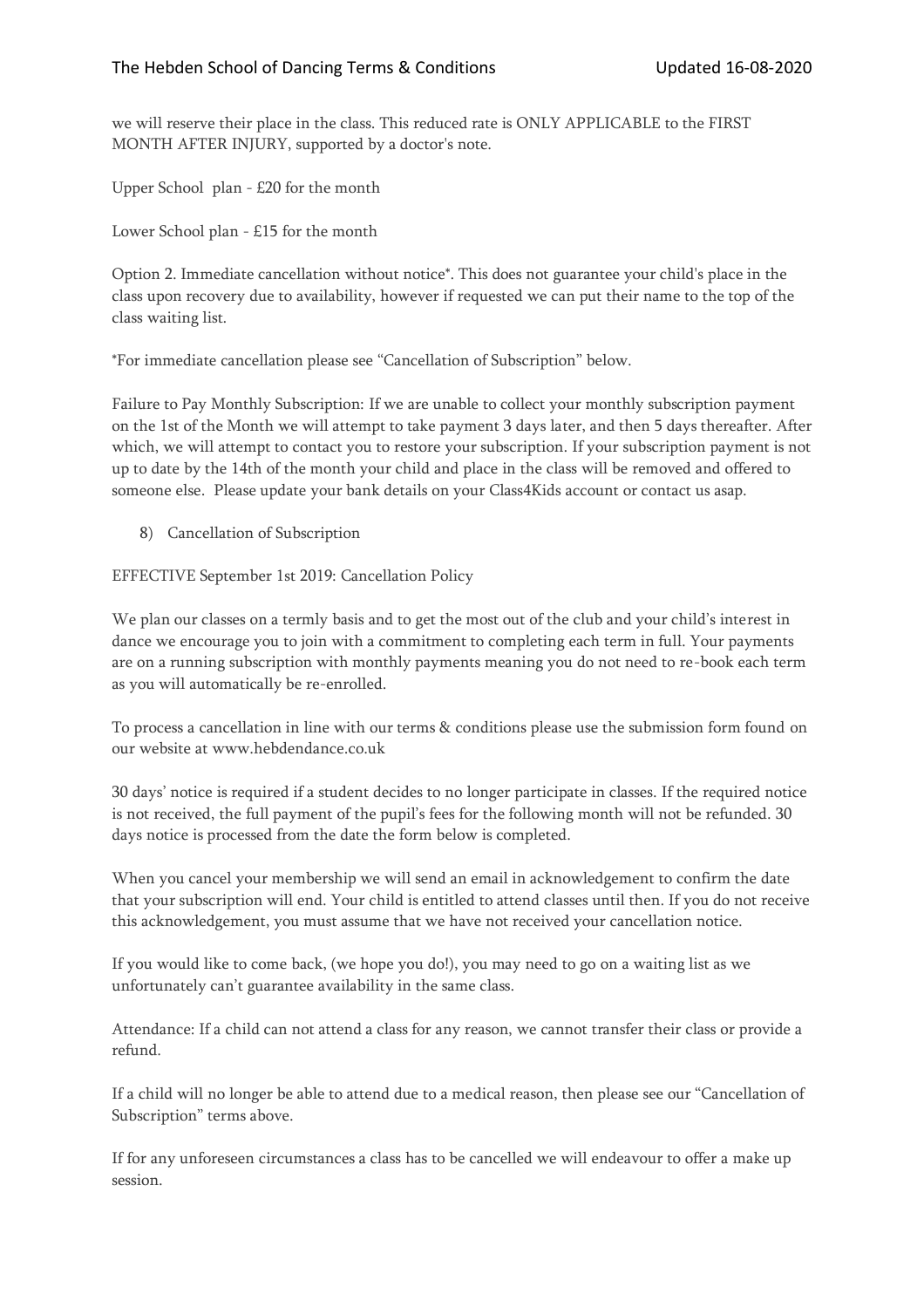we will reserve their place in the class. This reduced rate is ONLY APPLICABLE to the FIRST MONTH AFTER INJURY, supported by a doctor's note.

Upper School plan - £20 for the month

Lower School plan - £15 for the month

Option 2. Immediate cancellation without notice\*. This does not guarantee your child's place in the class upon recovery due to availability, however if requested we can put their name to the top of the class waiting list.

\*For immediate cancellation please see "Cancellation of Subscription" below.

Failure to Pay Monthly Subscription: If we are unable to collect your monthly subscription payment on the 1st of the Month we will attempt to take payment 3 days later, and then 5 days thereafter. After which, we will attempt to contact you to restore your subscription. If your subscription payment is not up to date by the 14th of the month your child and place in the class will be removed and offered to someone else. Please update your bank details on your Class4Kids account or contact us asap.

8) Cancellation of Subscription

EFFECTIVE September 1st 2019: Cancellation Policy

We plan our classes on a termly basis and to get the most out of the club and your child's interest in dance we encourage you to join with a commitment to completing each term in full. Your payments are on a running subscription with monthly payments meaning you do not need to re-book each term as you will automatically be re-enrolled.

To process a cancellation in line with our terms & conditions please use the submission form found on our website at www.hebdendance.co.uk

30 days' notice is required if a student decides to no longer participate in classes. If the required notice is not received, the full payment of the pupil's fees for the following month will not be refunded. 30 days notice is processed from the date the form below is completed.

When you cancel your membership we will send an email in acknowledgement to confirm the date that your subscription will end. Your child is entitled to attend classes until then. If you do not receive this acknowledgement, you must assume that we have not received your cancellation notice.

If you would like to come back, (we hope you do!), you may need to go on a waiting list as we unfortunately can't guarantee availability in the same class.

Attendance: If a child can not attend a class for any reason, we cannot transfer their class or provide a refund.

If a child will no longer be able to attend due to a medical reason, then please see our "Cancellation of Subscription" terms above.

If for any unforeseen circumstances a class has to be cancelled we will endeavour to offer a make up session.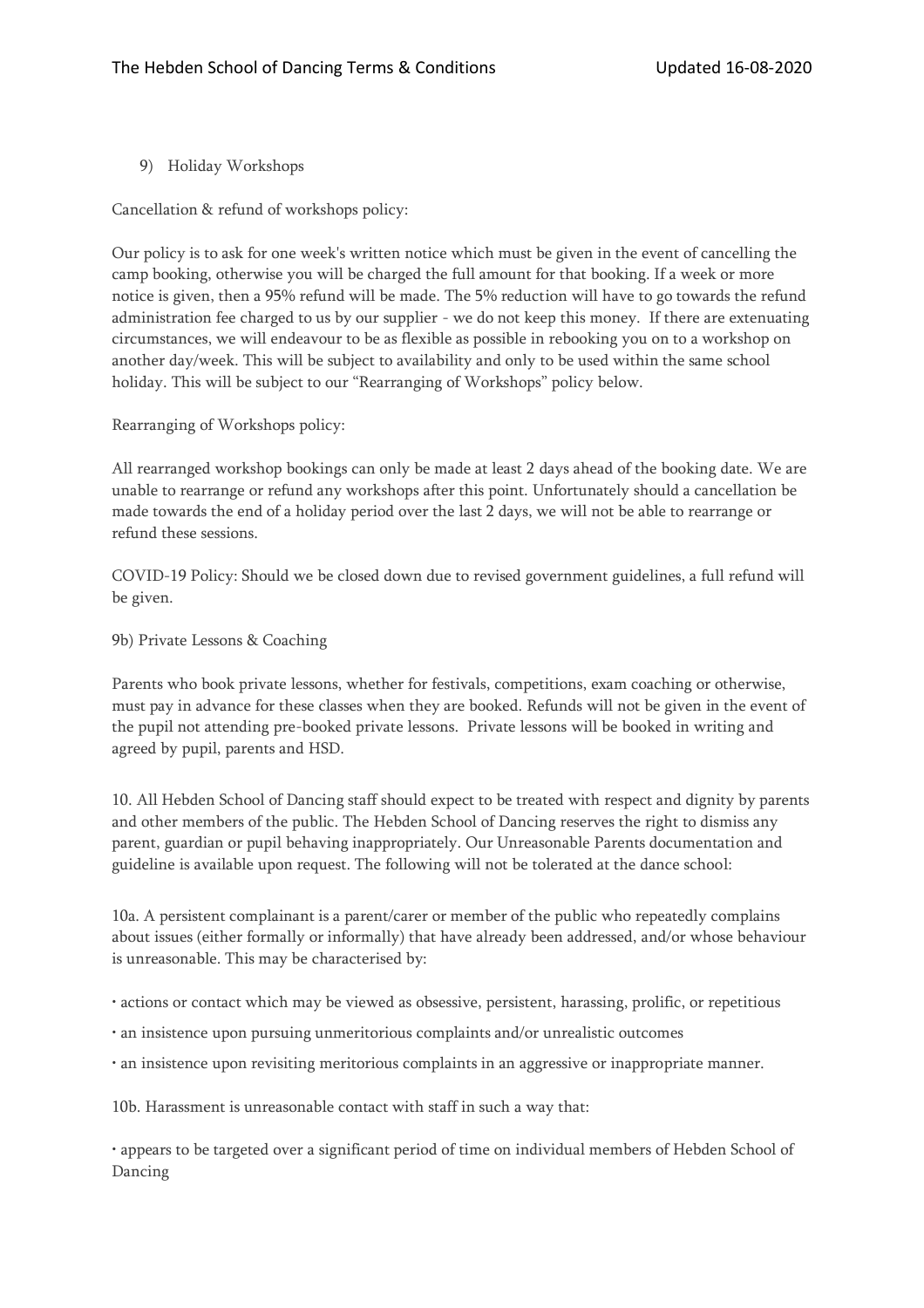9) Holiday Workshops

Cancellation & refund of workshops policy:

Our policy is to ask for one week's written notice which must be given in the event of cancelling the camp booking, otherwise you will be charged the full amount for that booking. If a week or more notice is given, then a 95% refund will be made. The 5% reduction will have to go towards the refund administration fee charged to us by our supplier - we do not keep this money. If there are extenuating circumstances, we will endeavour to be as flexible as possible in rebooking you on to a workshop on another day/week. This will be subject to availability and only to be used within the same school holiday. This will be subject to our "Rearranging of Workshops" policy below.

Rearranging of Workshops policy:

All rearranged workshop bookings can only be made at least 2 days ahead of the booking date. We are unable to rearrange or refund any workshops after this point. Unfortunately should a cancellation be made towards the end of a holiday period over the last 2 days, we will not be able to rearrange or refund these sessions.

COVID-19 Policy: Should we be closed down due to revised government guidelines, a full refund will be given.

9b) Private Lessons & Coaching

Parents who book private lessons, whether for festivals, competitions, exam coaching or otherwise, must pay in advance for these classes when they are booked. Refunds will not be given in the event of the pupil not attending pre-booked private lessons. Private lessons will be booked in writing and agreed by pupil, parents and HSD.

10. All Hebden School of Dancing staff should expect to be treated with respect and dignity by parents and other members of the public. The Hebden School of Dancing reserves the right to dismiss any parent, guardian or pupil behaving inappropriately. Our Unreasonable Parents documentation and guideline is available upon request. The following will not be tolerated at the dance school:

10a. A persistent complainant is a parent/carer or member of the public who repeatedly complains about issues (either formally or informally) that have already been addressed, and/or whose behaviour is unreasonable. This may be characterised by:

• actions or contact which may be viewed as obsessive, persistent, harassing, prolific, or repetitious

- an insistence upon pursuing unmeritorious complaints and/or unrealistic outcomes
- an insistence upon revisiting meritorious complaints in an aggressive or inappropriate manner.

10b. Harassment is unreasonable contact with staff in such a way that:

• appears to be targeted over a significant period of time on individual members of Hebden School of Dancing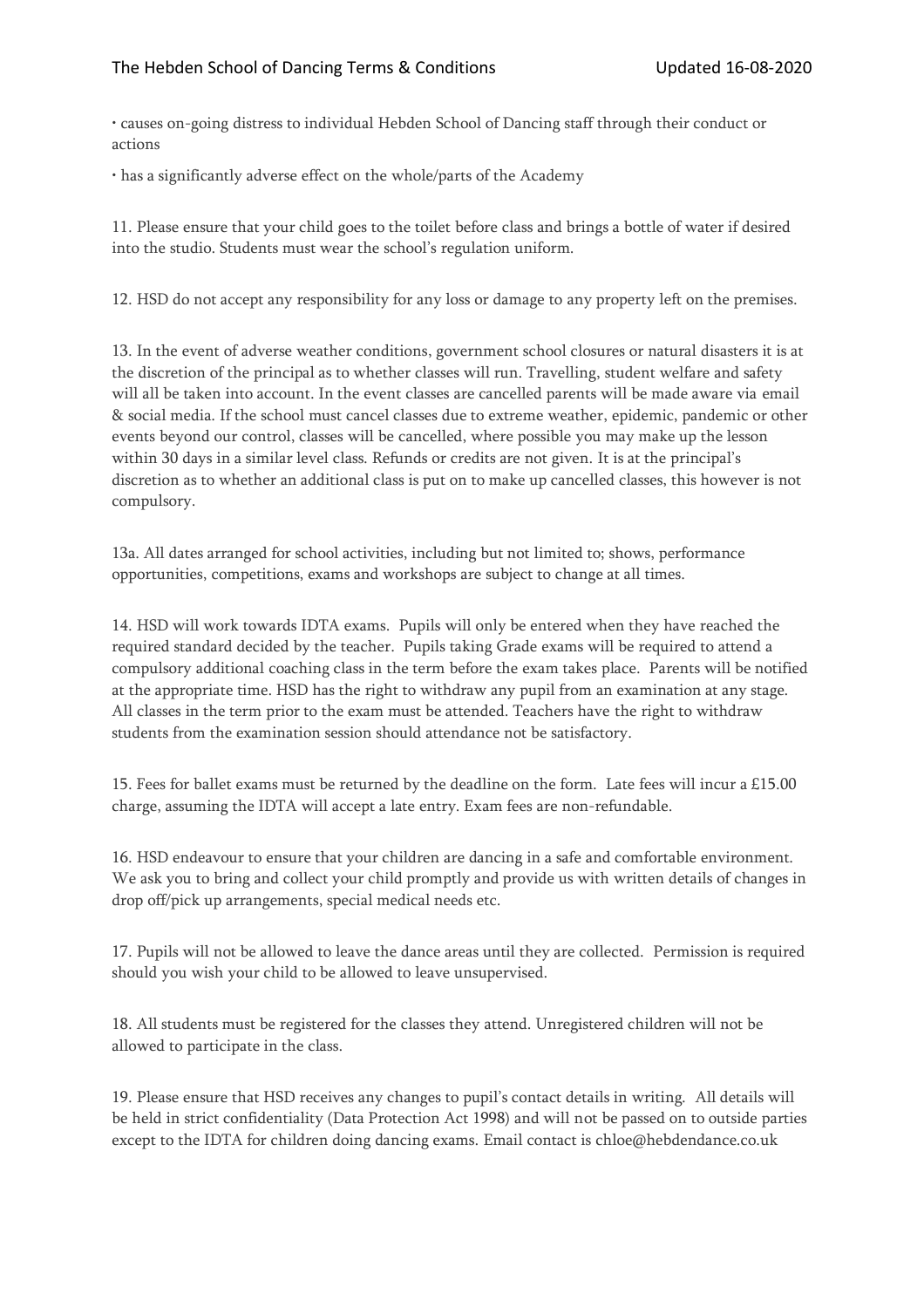• causes on-going distress to individual Hebden School of Dancing staff through their conduct or actions

• has a significantly adverse effect on the whole/parts of the Academy

11. Please ensure that your child goes to the toilet before class and brings a bottle of water if desired into the studio. Students must wear the school's regulation uniform.

12. HSD do not accept any responsibility for any loss or damage to any property left on the premises.

13. In the event of adverse weather conditions, government school closures or natural disasters it is at the discretion of the principal as to whether classes will run. Travelling, student welfare and safety will all be taken into account. In the event classes are cancelled parents will be made aware via email & social media. If the school must cancel classes due to extreme weather, epidemic, pandemic or other events beyond our control, classes will be cancelled, where possible you may make up the lesson within 30 days in a similar level class. Refunds or credits are not given. It is at the principal's discretion as to whether an additional class is put on to make up cancelled classes, this however is not compulsory.

13a. All dates arranged for school activities, including but not limited to; shows, performance opportunities, competitions, exams and workshops are subject to change at all times.

14. HSD will work towards IDTA exams. Pupils will only be entered when they have reached the required standard decided by the teacher. Pupils taking Grade exams will be required to attend a compulsory additional coaching class in the term before the exam takes place. Parents will be notified at the appropriate time. HSD has the right to withdraw any pupil from an examination at any stage. All classes in the term prior to the exam must be attended. Teachers have the right to withdraw students from the examination session should attendance not be satisfactory.

15. Fees for ballet exams must be returned by the deadline on the form. Late fees will incur a £15.00 charge, assuming the IDTA will accept a late entry. Exam fees are non-refundable.

16. HSD endeavour to ensure that your children are dancing in a safe and comfortable environment. We ask you to bring and collect your child promptly and provide us with written details of changes in drop off/pick up arrangements, special medical needs etc.

17. Pupils will not be allowed to leave the dance areas until they are collected. Permission is required should you wish your child to be allowed to leave unsupervised.

18. All students must be registered for the classes they attend. Unregistered children will not be allowed to participate in the class.

19. Please ensure that HSD receives any changes to pupil's contact details in writing. All details will be held in strict confidentiality (Data Protection Act 1998) and will not be passed on to outside parties except to the IDTA for children doing dancing exams. Email contact is chloe@hebdendance.co.uk